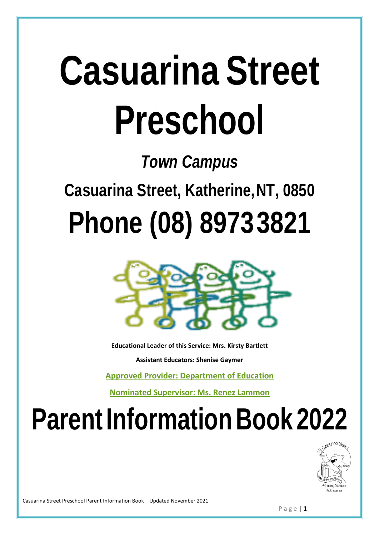# **Casuarina Street Preschool**

## *Town Campus*

**Casuarina Street, Katherine,NT, 0850**

## **Phone (08) 89733821**



**Educational Leader of this Service: Mrs. Kirsty Bartlett**

**Assistant Educators: Shenise Gaymer**

**Approved Provider: Department of Education**

**Nominated Supervisor: Ms. Renez Lammon**

## **Parent Information Book 2022**



Casuarina Street Preschool Parent Information Book – Updated November 2021

P a g e | **1**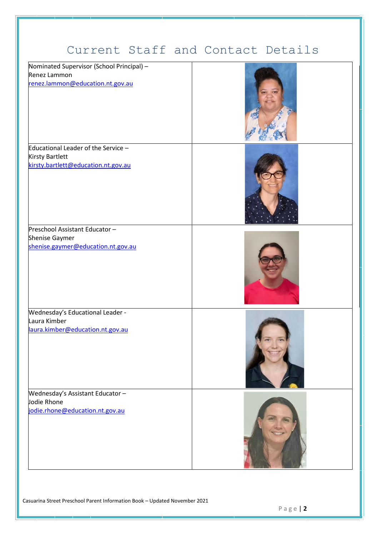## Current Staff and Contact Details

| Nominated Supervisor (School Principal) -<br>Renez Lammon<br>renez.lammon@education.nt.gov.au        |  |
|------------------------------------------------------------------------------------------------------|--|
| Educational Leader of the Service -<br><b>Kirsty Bartlett</b><br>kirsty.bartlett@education.nt.gov.au |  |
| Preschool Assistant Educator-<br>Shenise Gaymer<br>shenise.gaymer@education.nt.gov.au                |  |
| Wednesday's Educational Leader -<br>Laura Kimber<br>laura.kimber@education.nt.gov.au                 |  |
| Wednesday's Assistant Educator-<br>Jodie Rhone<br>jodie.rhone@education.nt.gov.au                    |  |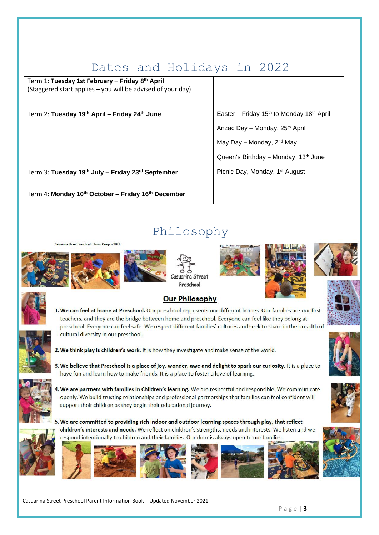## Dates and Holidays in 2022

| Term 1: Tuesday 1st February - Friday 8th April<br>(Staggered start applies – you will be advised of your day) |                                                                   |
|----------------------------------------------------------------------------------------------------------------|-------------------------------------------------------------------|
| Term 2: Tuesday 19th April - Friday 24th June                                                                  | Easter - Friday 15 <sup>th</sup> to Monday 18 <sup>th</sup> April |
|                                                                                                                |                                                                   |
|                                                                                                                | Anzac Day – Monday, 25 <sup>th</sup> April                        |
|                                                                                                                | May Day – Monday, 2 <sup>nd</sup> May                             |
|                                                                                                                | Queen's Birthday - Monday, 13 <sup>th</sup> June                  |
| Term 3: Tuesday 19th July - Friday 23rd September                                                              | Picnic Day, Monday, 1 <sup>st</sup> August                        |
|                                                                                                                |                                                                   |
| Term 4: Monday 10th October - Friday 16th December                                                             |                                                                   |

## Philosophy

uarina Street Preschool - Town Campus 2022





Casuarina Street Preschool









#### **Our Philosophy**

1. We can feel at home at Preschool. Our preschool represents our different homes. Our families are our first teachers, and they are the bridge between home and preschool. Everyone can feel like they belong at preschool. Everyone can feel safe. We respect different families' cultures and seek to share in the breadth of cultural diversity in our preschool.



- 2. We think play is children's work. It is how they investigate and make sense of the world.
- 3. We believe that Preschool is a place of joy, wonder, awe and delight to spark our curiosity. It is a place to have fun and learn how to make friends. It is a place to foster a love of learning.



- 4. We are partners with families in Children's learning. We are respectful and responsible. We communicate openly. We build trusting relationships and professional partnerships that families can feel confident will support their children as they begin their educational journey.
- 5. We are committed to providing rich indoor and outdoor learning spaces through play, that reflect children's interests and needs. We reflect on children's strengths, needs and interests. We listen and we respond intentionally to children and their families. Our door is always open to our families





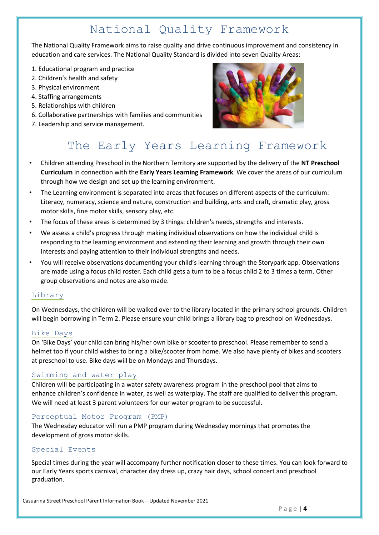## National Quality Framework

The National Quality Framework aims to raise quality and drive continuous improvement and consistency in education and care services. The National Quality Standard is divided into seven Quality Areas:

- 1. Educational program and practice
- 2. Children's health and safety
- 3. Physical environment
- 4. Staffing arrangements
- 5. Relationships with children
- 6. Collaborative partnerships with families and communities
- 7. Leadership and service management.



## The Early Years Learning Framework

- Children attending Preschool in the Northern Territory are supported by the delivery of the **NT Preschool Curriculum** in connection with the **Early Years Learning Framework**. We cover the areas of our curriculum through how we design and set up the learning environment.
- The Learning environment is separated into areas that focuses on different aspects of the curriculum: Literacy, numeracy, science and nature, construction and building, arts and craft, dramatic play, gross motor skills, fine motor skills, sensory play, etc.
- The focus of these areas is determined by 3 things: children's needs, strengths and interests.
- We assess a child's progress through making individual observations on how the individual child is responding to the learning environment and extending their learning and growth through their own interests and paying attention to their individual strengths and needs.
- You will receive observations documenting your child's learning through the Storypark app. Observations are made using a focus child roster. Each child gets a turn to be a focus child 2 to 3 times a term. Other group observations and notes are also made.

#### Library

On Wednesdays, the children will be walked over to the library located in the primary school grounds. Children will begin borrowing in Term 2. Please ensure your child brings a library bag to preschool on Wednesdays.

#### Bike Days

On 'Bike Days' your child can bring his/her own bike or scooter to preschool. Please remember to send a helmet too if your child wishes to bring a bike/scooter from home. We also have plenty of bikes and scooters at preschool to use. Bike days will be on Mondays and Thursdays.

#### Swimming and water play

Children will be participating in a water safety awareness program in the preschool pool that aims to enhance children's confidence in water, as well as waterplay. The staff are qualified to deliver this program. We will need at least 3 parent volunteers for our water program to be successful.

#### Perceptual Motor Program (PMP)

The Wednesday educator will run a PMP program during Wednesday mornings that promotes the development of gross motor skills.

#### Special Events

Special times during the year will accompany further notification closer to these times. You can look forward to our Early Years sports carnival, character day dress up, crazy hair days, school concert and preschool graduation.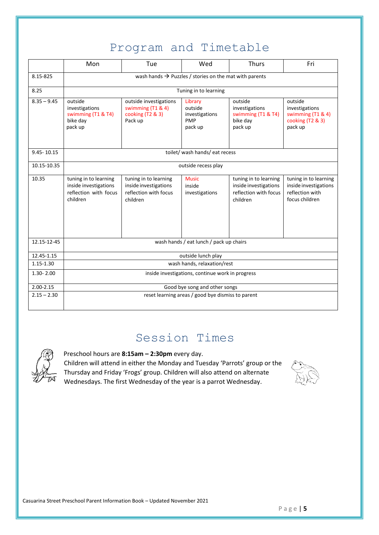## Program and Timetable

|                | Mon                                                                                 | Tue                                                                                 | Wed                                                    | <b>Thurs</b>                                                                        | Fri                                                                                 |  |  |
|----------------|-------------------------------------------------------------------------------------|-------------------------------------------------------------------------------------|--------------------------------------------------------|-------------------------------------------------------------------------------------|-------------------------------------------------------------------------------------|--|--|
| 8.15-825       | wash hands $\rightarrow$ Puzzles / stories on the mat with parents                  |                                                                                     |                                                        |                                                                                     |                                                                                     |  |  |
| 8.25           | Tuning in to learning                                                               |                                                                                     |                                                        |                                                                                     |                                                                                     |  |  |
| $8.35 - 9.45$  | outside<br>investigations<br>swimming (T1 & T4)<br>bike day<br>pack up              | outside investigations<br>swimming (T1 & 4)<br>cooking (T2 & 3)<br>Pack up          | Library<br>outside<br>investigations<br>PMP<br>pack up | outside<br>investigations<br>swimming (T1 & T4)<br>bike day<br>pack up              | outside<br>investigations<br>swimming (T1 & 4)<br>cooking (T2 & 3)<br>pack up       |  |  |
| $9.45 - 10.15$ | toilet/ wash hands/ eat recess                                                      |                                                                                     |                                                        |                                                                                     |                                                                                     |  |  |
| 10.15-10.35    | outside recess play                                                                 |                                                                                     |                                                        |                                                                                     |                                                                                     |  |  |
| 10.35          | tuning in to learning<br>inside investigations<br>reflection with focus<br>children | tuning in to learning<br>inside investigations<br>reflection with focus<br>children | <b>Music</b><br>inside<br>investigations               | tuning in to learning<br>inside investigations<br>reflection with focus<br>children | tuning in to learning<br>inside investigations<br>reflection with<br>focus children |  |  |
| 12.15-12-45    | wash hands / eat lunch / pack up chairs                                             |                                                                                     |                                                        |                                                                                     |                                                                                     |  |  |
| 12.45-1.15     | outside lunch play                                                                  |                                                                                     |                                                        |                                                                                     |                                                                                     |  |  |
| $1.15 - 1.30$  | wash hands, relaxation/rest                                                         |                                                                                     |                                                        |                                                                                     |                                                                                     |  |  |
| $1.30 - 2.00$  | inside investigations, continue work in progress                                    |                                                                                     |                                                        |                                                                                     |                                                                                     |  |  |
| $2.00 - 2.15$  | Good bye song and other songs                                                       |                                                                                     |                                                        |                                                                                     |                                                                                     |  |  |
| $2.15 - 2.30$  | reset learning areas / good bye dismiss to parent                                   |                                                                                     |                                                        |                                                                                     |                                                                                     |  |  |

### Session Times



Preschool hours are **8:15am – 2:30pm** every day.

Children will attend in either the Monday and Tuesday 'Parrots' group or the Thursday and Friday 'Frogs' group. Children will also attend on alternate Wednesdays. The first Wednesday of the year is a parrot Wednesday.

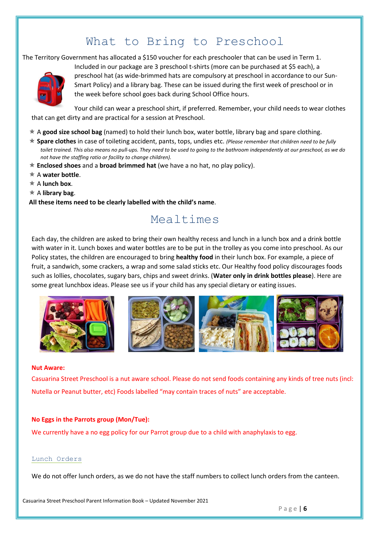## What to Bring to Preschool

The Territory Government has allocated a \$150 voucher for each preschooler that can be used in Term 1.



Included in our package are 3 preschool t-shirts (more can be purchased at \$5 each), a preschool hat (as wide-brimmed hats are compulsory at preschool in accordance to our Sun-Smart Policy) and a library bag. These can be issued during the first week of preschool or in the week before school goes back during School Office hours.

Your child can wear a preschool shirt, if preferred. Remember, your child needs to wear clothes that can get dirty and are practical for a session at Preschool.

- A **good size school bag** (named) to hold their lunch box, water bottle, library bag and spare clothing.
- **Spare clothes** in case of toileting accident, pants, tops, undies etc. *(Please remember that children need to be fully toilet trained. This also means no pull-ups. They need to be used to going to the bathroom independently at our preschool, as we do not have the staffing ratio or facility to change children).*
- **Enclosed shoes** and a **broad brimmed hat** (we have a no hat, no play policy).
- A **water bottle**.
- A **lunch box**.
- A **library bag**.
- **All these items need to be clearly labelled with the child's name**.

## Mealtimes

Each day, the children are asked to bring their own healthy recess and lunch in a lunch box and a drink bottle with water in it. Lunch boxes and water bottles are to be put in the trolley as you come into preschool. As our Policy states, the children are encouraged to bring **healthy food** in their lunch box. For example, a piece of fruit, a sandwich, some crackers, a wrap and some salad sticks etc. Our Healthy food policy discourages foods such as lollies, chocolates, sugary bars, chips and sweet drinks. (**Water only in drink bottles please**). Here are some great lunchbox ideas. Please see us if your child has any special dietary or eating issues.



#### **Nut Aware:**

Casuarina Street Preschool is a nut aware school. Please do not send foods containing any kinds of tree nuts (incl: Nutella or Peanut butter, etc) Foods labelled "may contain traces of nuts" are acceptable.

#### **No Eggs in the Parrots group (Mon/Tue):**

We currently have a no egg policy for our Parrot group due to a child with anaphylaxis to egg.

#### Lunch Orders

We do not offer lunch orders, as we do not have the staff numbers to collect lunch orders from the canteen.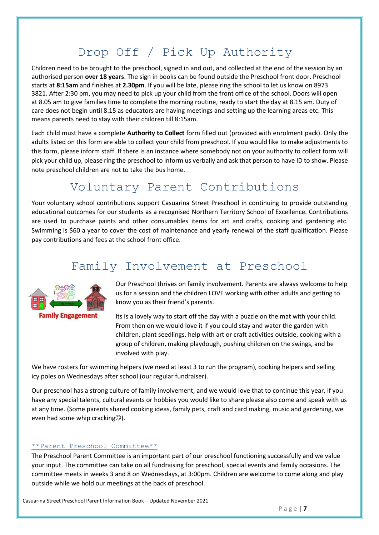## Drop Off / Pick Up Authority

Children need to be brought to the preschool, signed in and out, and collected at the end of the session by an authorised person **over 18 years**. The sign in books can be found outside the Preschool front door. Preschool starts at **8:15am** and finishes at **2.30pm**. If you will be late, please ring the school to let us know on 8973 3821. After 2:30 pm, you may need to pick up your child from the front office of the school. Doors will open at 8.05 am to give families time to complete the morning routine, ready to start the day at 8.15 am. Duty of care does not begin until 8.15 as educators are having meetings and setting up the learning areas etc. This means parents need to stay with their children till 8:15am.

Each child must have a complete **Authority to Collect** form filled out (provided with enrolment pack). Only the adults listed on this form are able to collect your child from preschool. If you would like to make adjustments to this form, please inform staff. If there is an instance where somebody not on your authority to collect form will pick your child up, please ring the preschool to inform us verbally and ask that person to have ID to show. Please note preschool children are not to take the bus home.

## Voluntary Parent Contributions

Your voluntary school contributions support Casuarina Street Preschool in continuing to provide outstanding educational outcomes for our students as a recognised Northern Territory School of Excellence. Contributions are used to purchase paints and other consumables items for art and crafts, cooking and gardening etc. Swimming is \$60 a year to cover the cost of maintenance and yearly renewal of the staff qualification. Please pay contributions and fees at the school front office.

## Family Involvement at Preschool



Our Preschool thrives on family involvement. Parents are always welcome to help us for a session and the children LOVE working with other adults and getting to know you as their friend's parents.

Its is a lovely way to start off the day with a puzzle on the mat with your child. From then on we would love it if you could stay and water the garden with children, plant seedlings, help with art or craft activities outside, cooking with a group of children, making playdough, pushing children on the swings, and be involved with play.

We have rosters for swimming helpers (we need at least 3 to run the program), cooking helpers and selling icy poles on Wednesdays after school (our regular fundraiser).

Our preschool has a strong culture of family involvement, and we would love that to continue this year, if you have any special talents, cultural events or hobbies you would like to share please also come and speak with us at any time. (Some parents shared cooking ideas, family pets, craft and card making, music and gardening, we even had some whip cracking $\circledcirc$ ).

#### \*\*Parent Preschool Committee\*\*

The Preschool Parent Committee is an important part of our preschool functioning successfully and we value your input. The committee can take on all fundraising for preschool, special events and family occasions. The committee meets in weeks 3 and 8 on Wednesdays, at 3:00pm. Children are welcome to come along and play outside while we hold our meetings at the back of preschool.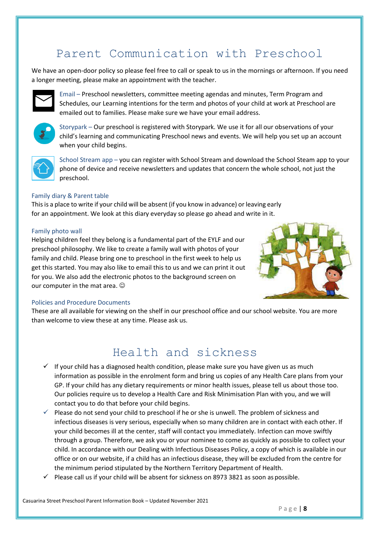## Parent Communication with Preschool

We have an open-door policy so please feel free to call or speak to us in the mornings or afternoon. If you need a longer meeting, please make an appointment with the teacher.



Email – Preschool newsletters, committee meeting agendas and minutes, Term Program and Schedules, our Learning intentions for the term and photos of your child at work at Preschool are emailed out to families. Please make sure we have your email address.



Storypark – Our preschool is registered with Storypark. We use it for all our observations of your child's learning and communicating Preschool news and events. We will help you set up an account when your child begins.



School Stream app – you can register with School Stream and download the School Steam app to your phone of device and receive newsletters and updates that concern the whole school, not just the preschool.

#### Family diary & Parent table

This is a place to write if your child will be absent (if you know in advance) or leaving early for an appointment. We look at this diary everyday so please go ahead and write in it.

#### Family photo wall

Helping children feel they belong is a fundamental part of the EYLF and our preschool philosophy. We like to create a family wall with photos of your family and child. Please bring one to preschool in the first week to help us get this started. You may also like to email this to us and we can print it out for you. We also add the electronic photos to the background screen on our computer in the mat area.  $\odot$ 



#### Policies and Procedure Documents

These are all available for viewing on the shelf in our preschool office and our school website. You are more than welcome to view these at any time. Please ask us.

### Health and sickness

- $\checkmark$  If your child has a diagnosed health condition, please make sure you have given us as much information as possible in the enrolment form and bring us copies of any Health Care plans from your GP. If your child has any dietary requirements or minor health issues, please tell us about those too. Our policies require us to develop a Health Care and Risk Minimisation Plan with you, and we will contact you to do that before your child begins.
- $\checkmark$  Please do not send your child to preschool if he or she is unwell. The problem of sickness and infectious diseases is very serious, especially when so many children are in contact with each other. If your child becomes ill at the center, staff will contact you immediately. Infection can move swiftly through a group. Therefore, we ask you or your nominee to come as quickly as possible to collect your child. In accordance with our Dealing with Infectious Diseases Policy, a copy of which is available in our office or on our website, if a child has an infectious disease, they will be excluded from the centre for the minimum period stipulated by the Northern Territory Department of Health.
- $\checkmark$  Please call us if your child will be absent for sickness on 8973 3821 as soon as possible.